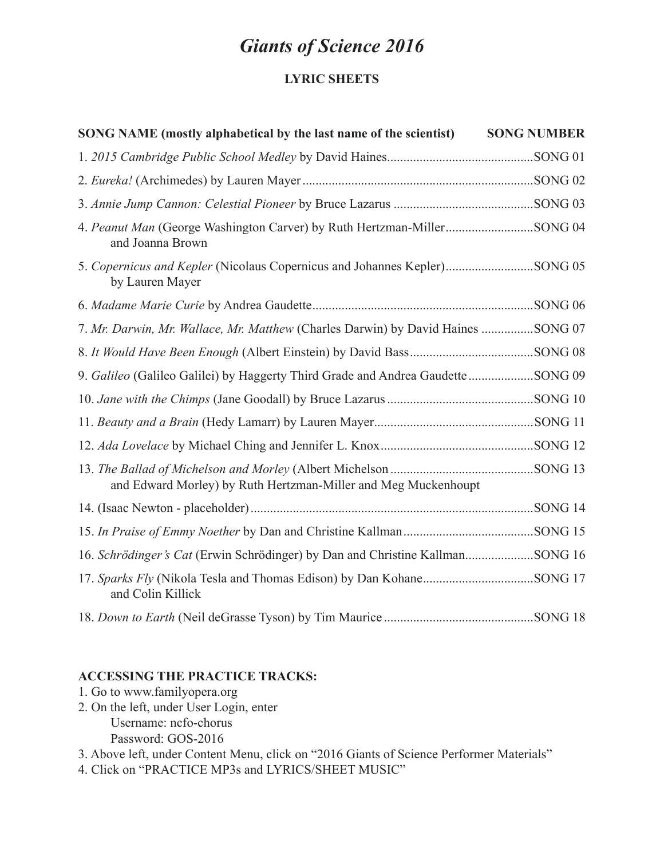# *Giants of Science 2016*

# **LYRIC SHEETS**

| SONG NAME (mostly alphabetical by the last name of the scientist)                            | <b>SONG NUMBER</b> |
|----------------------------------------------------------------------------------------------|--------------------|
|                                                                                              |                    |
|                                                                                              |                    |
|                                                                                              |                    |
| and Joanna Brown                                                                             |                    |
| 5. Copernicus and Kepler (Nicolaus Copernicus and Johannes Kepler)SONG 05<br>by Lauren Mayer |                    |
|                                                                                              |                    |
| 7. Mr. Darwin, Mr. Wallace, Mr. Matthew (Charles Darwin) by David Haines SONG 07             |                    |
|                                                                                              |                    |
| 9. Galileo (Galileo Galilei) by Haggerty Third Grade and Andrea Gaudette SONG 09             |                    |
|                                                                                              |                    |
|                                                                                              |                    |
|                                                                                              |                    |
| and Edward Morley) by Ruth Hertzman-Miller and Meg Muckenhoupt                               |                    |
|                                                                                              |                    |
|                                                                                              |                    |
| 16. Schrödinger's Cat (Erwin Schrödinger) by Dan and Christine KallmanSONG 16                |                    |
| and Colin Killick                                                                            |                    |
|                                                                                              |                    |

# **ACCESSING THE PRACTICE TRACKS:**

- 1. Go to www.familyopera.org
- 2. On the left, under User Login, enter Username: ncfo-chorus Password: GOS-2016
- 3. Above left, under Content Menu, click on "2016 Giants of Science Performer Materials"
- 4. Click on "PRACTICE MP3s and LYRICS/SHEET MUSIC"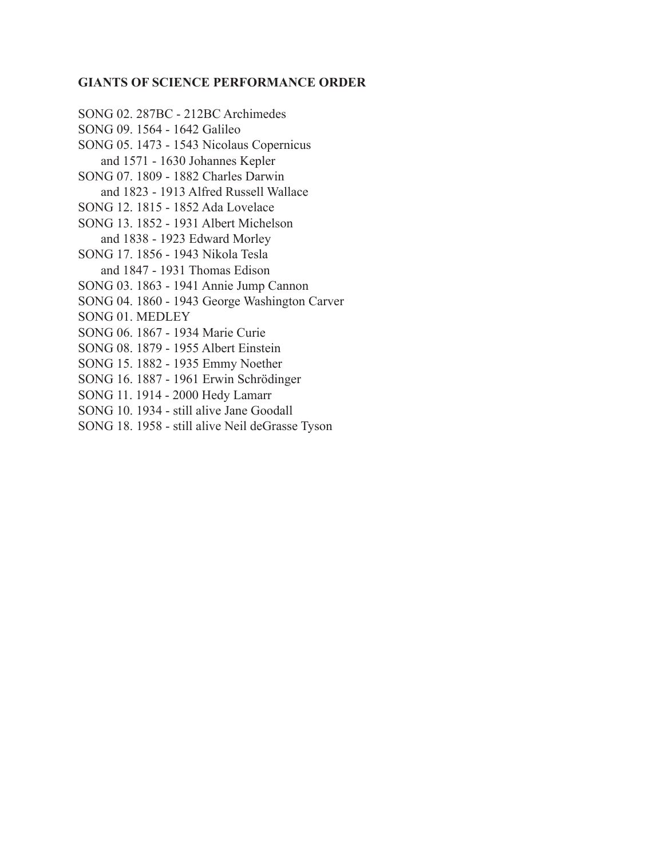#### **GIANTS OF SCIENCE PERFORMANCE ORDER**

SONG 02. 287BC - 212BC Archimedes SONG 09. 1564 - 1642 Galileo SONG 05. 1473 - 1543 Nicolaus Copernicus and 1571 - 1630 Johannes Kepler SONG 07. 1809 - 1882 Charles Darwin and 1823 - 1913 Alfred Russell Wallace SONG 12. 1815 - 1852 Ada Lovelace SONG 13. 1852 - 1931 Albert Michelson and 1838 - 1923 Edward Morley SONG 17. 1856 - 1943 Nikola Tesla and 1847 - 1931 Thomas Edison SONG 03. 1863 - 1941 Annie Jump Cannon SONG 04. 1860 - 1943 George Washington Carver SONG 01. MEDLEY SONG 06. 1867 - 1934 Marie Curie SONG 08. 1879 - 1955 Albert Einstein SONG 15. 1882 - 1935 Emmy Noether SONG 16. 1887 - 1961 Erwin Schrödinger SONG 11. 1914 - 2000 Hedy Lamarr SONG 10. 1934 - still alive Jane Goodall SONG 18. 1958 - still alive Neil deGrasse Tyson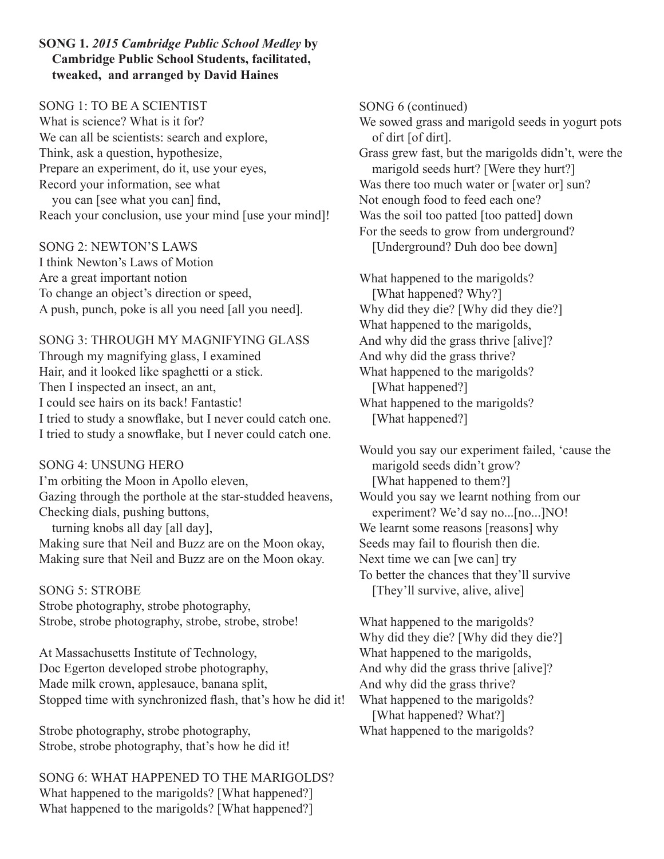## **SONG 1.** *2015 Cambridge Public School Medley* **by Cambridge Public School Students, facilitated, tweaked, and arranged by David Haines**

## SONG 1: TO BE A SCIENTIST

What is science? What is it for? We can all be scientists: search and explore, Think, ask a question, hypothesize, Prepare an experiment, do it, use your eyes, Record your information, see what you can [see what you can] find, Reach your conclusion, use your mind [use your mind]!

SONG 2: NEWTON'S LAWS I think Newton's Laws of Motion Are a great important notion To change an object's direction or speed, A push, punch, poke is all you need [all you need].

# SONG 3: THROUGH MY MAGNIFYING GLASS

Through my magnifying glass, I examined Hair, and it looked like spaghetti or a stick. Then I inspected an insect, an ant, I could see hairs on its back! Fantastic! I tried to study a snowflake, but I never could catch one. I tried to study a snowflake, but I never could catch one.

SONG 4: UNSUNG HERO I'm orbiting the Moon in Apollo eleven, Gazing through the porthole at the star-studded heavens, Checking dials, pushing buttons, turning knobs all day [all day],

Making sure that Neil and Buzz are on the Moon okay, Making sure that Neil and Buzz are on the Moon okay.

SONG 5: STROBE Strobe photography, strobe photography, Strobe, strobe photography, strobe, strobe, strobe!

At Massachusetts Institute of Technology, Doc Egerton developed strobe photography, Made milk crown, applesauce, banana split, Stopped time with synchronized flash, that's how he did it!

Strobe photography, strobe photography, Strobe, strobe photography, that's how he did it!

SONG 6: WHAT HAPPENED TO THE MARIGOLDS? What happened to the marigolds? [What happened?] What happened to the marigolds? [What happened?]

SONG 6 (continued) We sowed grass and marigold seeds in yogurt pots of dirt [of dirt]. Grass grew fast, but the marigolds didn't, were the marigold seeds hurt? [Were they hurt?] Was there too much water or [water or] sun? Not enough food to feed each one? Was the soil too patted [too patted] down For the seeds to grow from underground? [Underground? Duh doo bee down]

What happened to the marigolds? [What happened? Why?] Why did they die? [Why did they die?] What happened to the marigolds, And why did the grass thrive [alive]? And why did the grass thrive? What happened to the marigolds? [What happened?] What happened to the marigolds? [What happened?]

Would you say our experiment failed, 'cause the marigold seeds didn't grow? [What happened to them?] Would you say we learnt nothing from our experiment? We'd say no...[no...]NO! We learnt some reasons [reasons] why Seeds may fail to flourish then die. Next time we can [we can] try To better the chances that they'll survive [They'll survive, alive, alive]

What happened to the marigolds? Why did they die? [Why did they die?] What happened to the marigolds, And why did the grass thrive [alive]? And why did the grass thrive? What happened to the marigolds? [What happened? What?] What happened to the marigolds?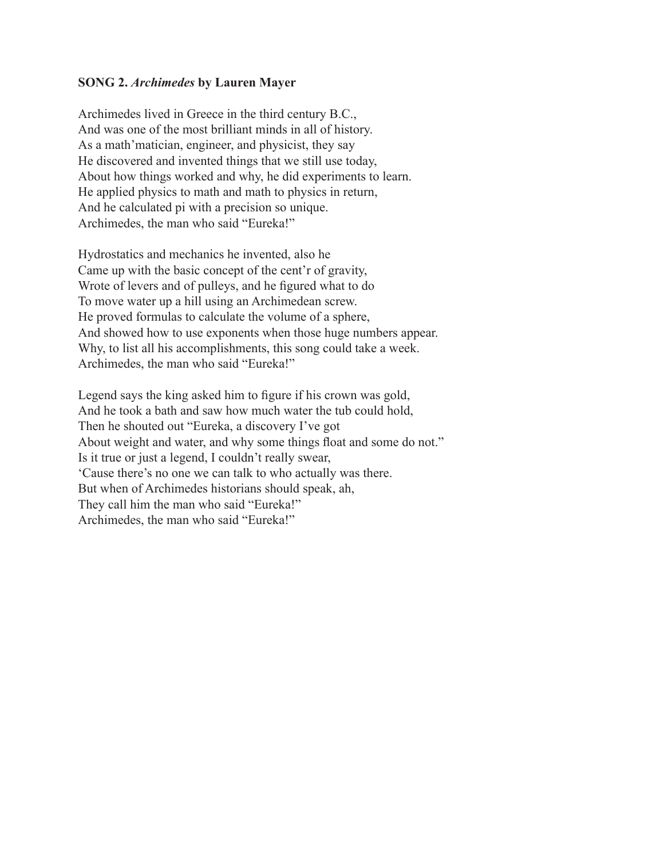#### **SONG 2.** *Archimedes* **by Lauren Mayer**

Archimedes lived in Greece in the third century B.C., And was one of the most brilliant minds in all of history. As a math'matician, engineer, and physicist, they say He discovered and invented things that we still use today, About how things worked and why, he did experiments to learn. He applied physics to math and math to physics in return, And he calculated pi with a precision so unique. Archimedes, the man who said "Eureka!"

Hydrostatics and mechanics he invented, also he Came up with the basic concept of the cent'r of gravity, Wrote of levers and of pulleys, and he figured what to do To move water up a hill using an Archimedean screw. He proved formulas to calculate the volume of a sphere, And showed how to use exponents when those huge numbers appear. Why, to list all his accomplishments, this song could take a week. Archimedes, the man who said "Eureka!"

Legend says the king asked him to figure if his crown was gold, And he took a bath and saw how much water the tub could hold, Then he shouted out "Eureka, a discovery I've got About weight and water, and why some things float and some do not." Is it true or just a legend, I couldn't really swear, 'Cause there's no one we can talk to who actually was there. But when of Archimedes historians should speak, ah, They call him the man who said "Eureka!" Archimedes, the man who said "Eureka!"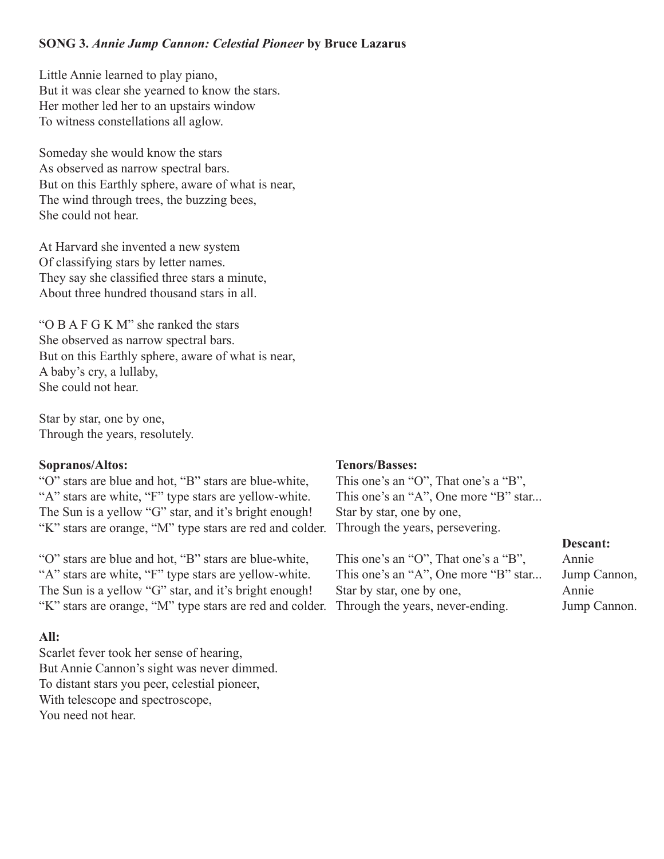## **SONG 3.** *Annie Jump Cannon: Celestial Pioneer* **by Bruce Lazarus**

Little Annie learned to play piano, But it was clear she yearned to know the stars. Her mother led her to an upstairs window To witness constellations all aglow.

Someday she would know the stars As observed as narrow spectral bars. But on this Earthly sphere, aware of what is near, The wind through trees, the buzzing bees, She could not hear.

At Harvard she invented a new system Of classifying stars by letter names. They say she classified three stars a minute, About three hundred thousand stars in all.

"O B A F G K M" she ranked the stars She observed as narrow spectral bars. But on this Earthly sphere, aware of what is near, A baby's cry, a lullaby, She could not hear.

Star by star, one by one, Through the years, resolutely.

#### **Sopranos/Altos:**

"O" stars are blue and hot, "B" stars are blue-white, "A" stars are white, "F" type stars are yellow-white. The Sun is a yellow "G" star, and it's bright enough! "K" stars are orange, "M" type stars are red and colder.

"O" stars are blue and hot, "B" stars are blue-white, "A" stars are white, "F" type stars are yellow-white. The Sun is a yellow "G" star, and it's bright enough! "K" stars are orange, "M" type stars are red and colder.

#### **All:**

Scarlet fever took her sense of hearing, But Annie Cannon's sight was never dimmed. To distant stars you peer, celestial pioneer, With telescope and spectroscope, You need not hear.

#### **Tenors/Basses:**

This one's an "O", That one's a "B", This one's an "A", One more "B" star... Star by star, one by one, Through the years, persevering.

| This one's an "O", That one's a "B", | A            |
|--------------------------------------|--------------|
| This one's an "A", One more "B" star | .Ju          |
| Star by star, one by one,            | $\mathsf{A}$ |
| Through the years, never-ending.     | Ju           |

#### **Descant:**

nnie Jump Cannon, nnie ump Cannon.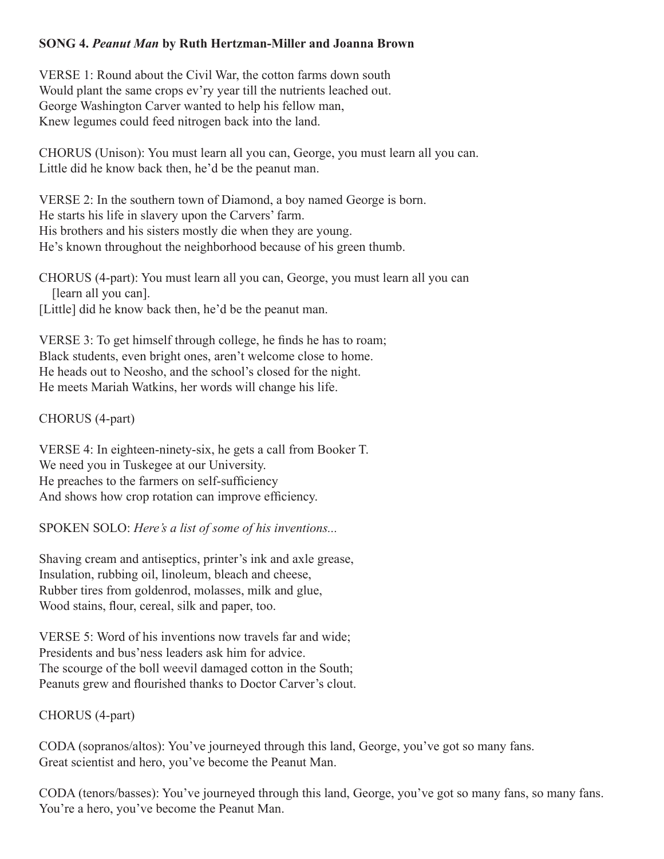## **SONG 4.** *Peanut Man* **by Ruth Hertzman-Miller and Joanna Brown**

VERSE 1: Round about the Civil War, the cotton farms down south Would plant the same crops ev'ry year till the nutrients leached out. George Washington Carver wanted to help his fellow man, Knew legumes could feed nitrogen back into the land.

CHORUS (Unison): You must learn all you can, George, you must learn all you can. Little did he know back then, he'd be the peanut man.

VERSE 2: In the southern town of Diamond, a boy named George is born. He starts his life in slavery upon the Carvers' farm. His brothers and his sisters mostly die when they are young. He's known throughout the neighborhood because of his green thumb.

CHORUS (4-part): You must learn all you can, George, you must learn all you can [learn all you can].

[Little] did he know back then, he'd be the peanut man.

VERSE 3: To get himself through college, he finds he has to roam; Black students, even bright ones, aren't welcome close to home. He heads out to Neosho, and the school's closed for the night. He meets Mariah Watkins, her words will change his life.

CHORUS (4-part)

VERSE 4: In eighteen-ninety-six, he gets a call from Booker T. We need you in Tuskegee at our University. He preaches to the farmers on self-sufficiency And shows how crop rotation can improve efficiency.

SPOKEN SOLO: *Here's a list of some of his inventions...*

Shaving cream and antiseptics, printer's ink and axle grease, Insulation, rubbing oil, linoleum, bleach and cheese, Rubber tires from goldenrod, molasses, milk and glue, Wood stains, flour, cereal, silk and paper, too.

VERSE 5: Word of his inventions now travels far and wide; Presidents and bus'ness leaders ask him for advice. The scourge of the boll weevil damaged cotton in the South; Peanuts grew and flourished thanks to Doctor Carver's clout.

CHORUS (4-part)

CODA (sopranos/altos): You've journeyed through this land, George, you've got so many fans. Great scientist and hero, you've become the Peanut Man.

CODA (tenors/basses): You've journeyed through this land, George, you've got so many fans, so many fans. You're a hero, you've become the Peanut Man.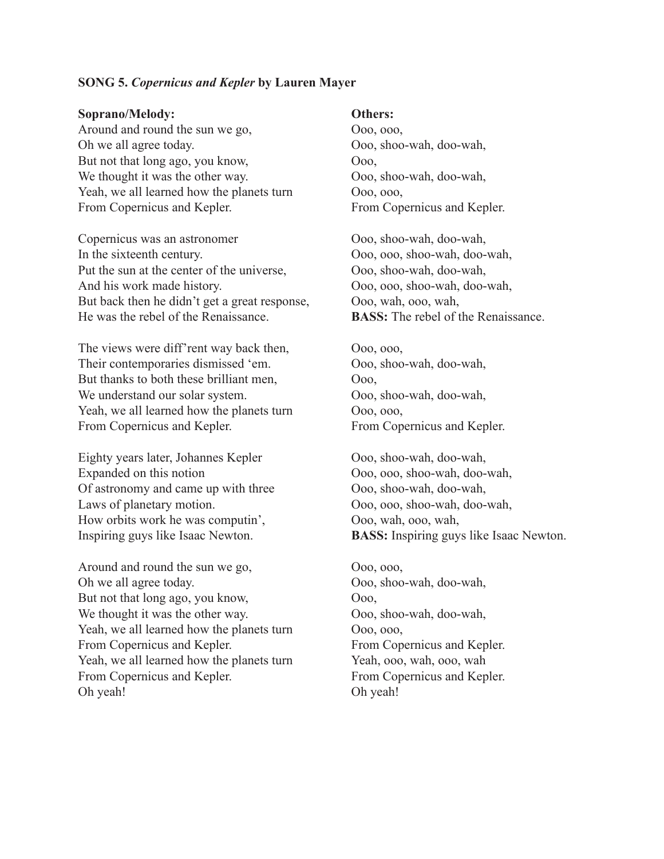#### **SONG 5.** *Copernicus and Kepler* **by Lauren Mayer**

#### **Soprano/Melody:**

Around and round the sun we go, Oh we all agree today. But not that long ago, you know, We thought it was the other way. Yeah, we all learned how the planets turn From Copernicus and Kepler.

Copernicus was an astronomer In the sixteenth century. Put the sun at the center of the universe, And his work made history. But back then he didn't get a great response, He was the rebel of the Renaissance.

The views were diff'rent way back then, Their contemporaries dismissed 'em. But thanks to both these brilliant men, We understand our solar system. Yeah, we all learned how the planets turn From Copernicus and Kepler.

Eighty years later, Johannes Kepler Expanded on this notion Of astronomy and came up with three Laws of planetary motion. How orbits work he was computin', Inspiring guys like Isaac Newton.

Around and round the sun we go, Oh we all agree today. But not that long ago, you know, We thought it was the other way. Yeah, we all learned how the planets turn From Copernicus and Kepler. Yeah, we all learned how the planets turn From Copernicus and Kepler. Oh yeah!

#### **Others:**

Ooo, ooo, Ooo, shoo-wah, doo-wah, Ooo, Ooo, shoo-wah, doo-wah, Ooo, ooo, From Copernicus and Kepler.

Ooo, shoo-wah, doo-wah, Ooo, ooo, shoo-wah, doo-wah, Ooo, shoo-wah, doo-wah, Ooo, ooo, shoo-wah, doo-wah, Ooo, wah, ooo, wah, **BASS:** The rebel of the Renaissance.

Ooo, ooo, Ooo, shoo-wah, doo-wah, Ooo, Ooo, shoo-wah, doo-wah, Ooo, ooo, From Copernicus and Kepler.

Ooo, shoo-wah, doo-wah, Ooo, ooo, shoo-wah, doo-wah, Ooo, shoo-wah, doo-wah, Ooo, ooo, shoo-wah, doo-wah, Ooo, wah, ooo, wah, **BASS:** Inspiring guys like Isaac Newton.

Ooo, ooo, Ooo, shoo-wah, doo-wah, Ooo, Ooo, shoo-wah, doo-wah, Ooo, ooo, From Copernicus and Kepler. Yeah, ooo, wah, ooo, wah From Copernicus and Kepler. Oh yeah!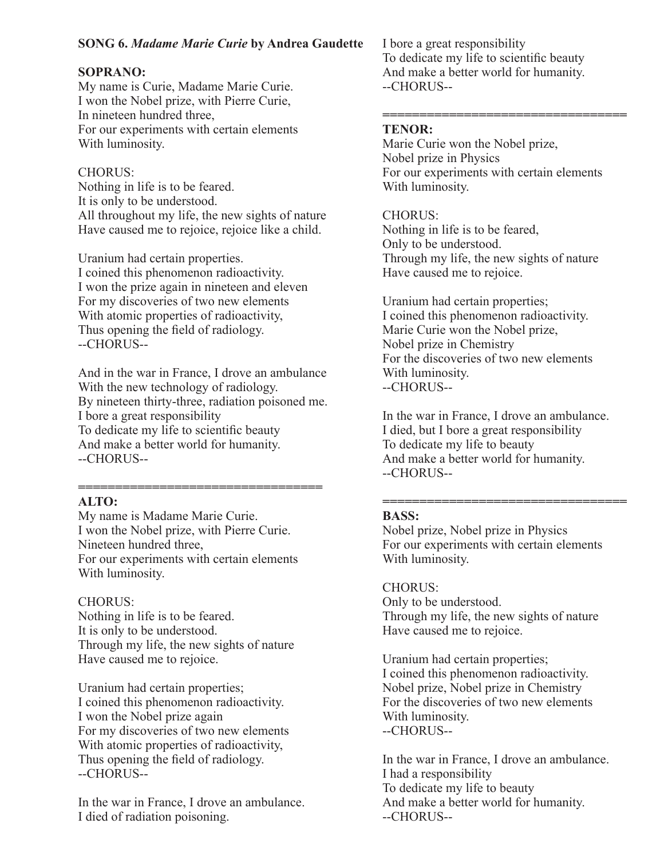## **SONG 6.** *Madame Marie Curie* **by Andrea Gaudette**

## **SOPRANO:**

My name is Curie, Madame Marie Curie. I won the Nobel prize, with Pierre Curie, In nineteen hundred three, For our experiments with certain elements With luminosity.

## CHORUS:

Nothing in life is to be feared. It is only to be understood. All throughout my life, the new sights of nature Have caused me to rejoice, rejoice like a child.

Uranium had certain properties. I coined this phenomenon radioactivity. I won the prize again in nineteen and eleven For my discoveries of two new elements With atomic properties of radioactivity, Thus opening the field of radiology. --CHORUS--

And in the war in France, I drove an ambulance With the new technology of radiology. By nineteen thirty-three, radiation poisoned me. I bore a great responsibility To dedicate my life to scientific beauty And make a better world for humanity. --CHORUS--

#### **================================= ALTO:**

My name is Madame Marie Curie. I won the Nobel prize, with Pierre Curie. Nineteen hundred three, For our experiments with certain elements With luminosity.

## CHORUS:

Nothing in life is to be feared. It is only to be understood. Through my life, the new sights of nature Have caused me to rejoice.

Uranium had certain properties; I coined this phenomenon radioactivity. I won the Nobel prize again For my discoveries of two new elements With atomic properties of radioactivity, Thus opening the field of radiology. --CHORUS--

In the war in France, I drove an ambulance. I died of radiation poisoning.

I bore a great responsibility To dedicate my life to scientific beauty And make a better world for humanity. --CHORUS--

#### **================================= TENOR:**

Marie Curie won the Nobel prize, Nobel prize in Physics For our experiments with certain elements With luminosity.

## CHORUS:

Nothing in life is to be feared, Only to be understood. Through my life, the new sights of nature Have caused me to rejoice.

Uranium had certain properties; I coined this phenomenon radioactivity. Marie Curie won the Nobel prize, Nobel prize in Chemistry For the discoveries of two new elements With luminosity. --CHORUS--

In the war in France, I drove an ambulance. I died, but I bore a great responsibility To dedicate my life to beauty And make a better world for humanity. --CHORUS--

#### **================================= BASS:**

Nobel prize, Nobel prize in Physics For our experiments with certain elements With luminosity.

## CHORUS: Only to be understood.

Through my life, the new sights of nature Have caused me to rejoice.

Uranium had certain properties; I coined this phenomenon radioactivity. Nobel prize, Nobel prize in Chemistry For the discoveries of two new elements With luminosity. --CHORUS--

In the war in France, I drove an ambulance. I had a responsibility To dedicate my life to beauty And make a better world for humanity. --CHORUS--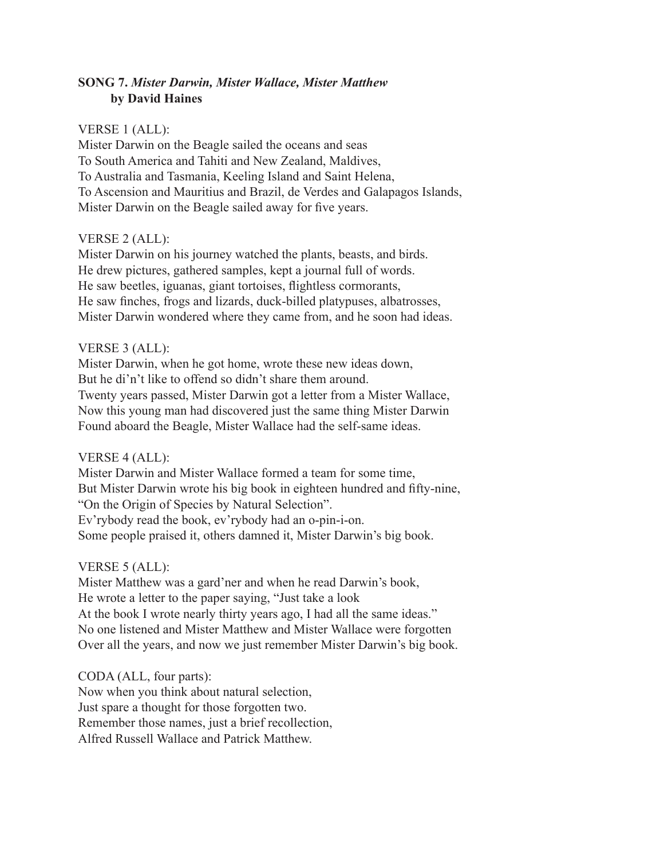## **SONG 7.** *Mister Darwin, Mister Wallace, Mister Matthew* **by David Haines**

#### VERSE 1 (ALL):

Mister Darwin on the Beagle sailed the oceans and seas To South America and Tahiti and New Zealand, Maldives, To Australia and Tasmania, Keeling Island and Saint Helena, To Ascension and Mauritius and Brazil, de Verdes and Galapagos Islands, Mister Darwin on the Beagle sailed away for five years.

### VERSE 2 (ALL):

Mister Darwin on his journey watched the plants, beasts, and birds. He drew pictures, gathered samples, kept a journal full of words. He saw beetles, iguanas, giant tortoises, flightless cormorants, He saw finches, frogs and lizards, duck-billed platypuses, albatrosses, Mister Darwin wondered where they came from, and he soon had ideas.

### VERSE 3 (ALL):

Mister Darwin, when he got home, wrote these new ideas down, But he di'n't like to offend so didn't share them around. Twenty years passed, Mister Darwin got a letter from a Mister Wallace, Now this young man had discovered just the same thing Mister Darwin Found aboard the Beagle, Mister Wallace had the self-same ideas.

## VERSE 4 (ALL):

Mister Darwin and Mister Wallace formed a team for some time, But Mister Darwin wrote his big book in eighteen hundred and fifty-nine, "On the Origin of Species by Natural Selection". Ev'rybody read the book, ev'rybody had an o-pin-i-on. Some people praised it, others damned it, Mister Darwin's big book.

## VERSE 5 (ALL):

Mister Matthew was a gard'ner and when he read Darwin's book, He wrote a letter to the paper saying, "Just take a look At the book I wrote nearly thirty years ago, I had all the same ideas." No one listened and Mister Matthew and Mister Wallace were forgotten Over all the years, and now we just remember Mister Darwin's big book.

## CODA (ALL, four parts):

Now when you think about natural selection, Just spare a thought for those forgotten two. Remember those names, just a brief recollection, Alfred Russell Wallace and Patrick Matthew.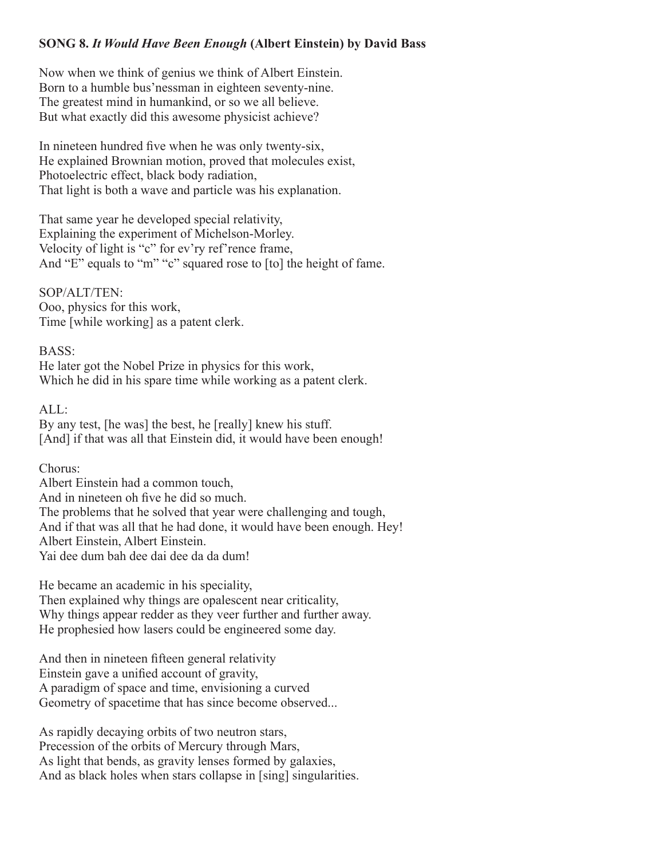## **SONG 8.** *It Would Have Been Enough* **(Albert Einstein) by David Bass**

Now when we think of genius we think of Albert Einstein. Born to a humble bus'nessman in eighteen seventy-nine. The greatest mind in humankind, or so we all believe. But what exactly did this awesome physicist achieve?

In nineteen hundred five when he was only twenty-six, He explained Brownian motion, proved that molecules exist, Photoelectric effect, black body radiation, That light is both a wave and particle was his explanation.

That same year he developed special relativity, Explaining the experiment of Michelson-Morley. Velocity of light is "c" for ev'ry ref'rence frame, And "E" equals to "m" "c" squared rose to [to] the height of fame.

SOP/ALT/TEN: Ooo, physics for this work, Time [while working] as a patent clerk.

BASS:

He later got the Nobel Prize in physics for this work, Which he did in his spare time while working as a patent clerk.

 $AI.$ 

By any test, [he was] the best, he [really] knew his stuff. [And] if that was all that Einstein did, it would have been enough!

Chorus:

Albert Einstein had a common touch, And in nineteen oh five he did so much. The problems that he solved that year were challenging and tough, And if that was all that he had done, it would have been enough. Hey! Albert Einstein, Albert Einstein. Yai dee dum bah dee dai dee da da dum!

He became an academic in his speciality,

Then explained why things are opalescent near criticality, Why things appear redder as they veer further and further away. He prophesied how lasers could be engineered some day.

And then in nineteen fifteen general relativity Einstein gave a unified account of gravity, A paradigm of space and time, envisioning a curved Geometry of spacetime that has since become observed...

As rapidly decaying orbits of two neutron stars, Precession of the orbits of Mercury through Mars, As light that bends, as gravity lenses formed by galaxies, And as black holes when stars collapse in [sing] singularities.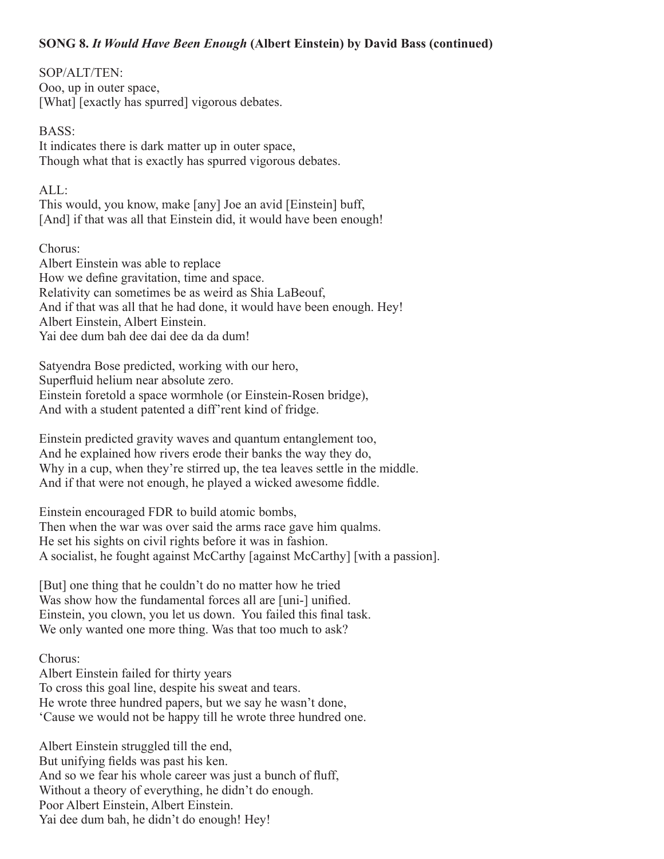## **SONG 8.** *It Would Have Been Enough* **(Albert Einstein) by David Bass (continued)**

## SOP/ALT/TEN:

Ooo, up in outer space, [What] [exactly has spurred] vigorous debates.

### BASS:

It indicates there is dark matter up in outer space, Though what that is exactly has spurred vigorous debates.

## $AI.$

This would, you know, make [any] Joe an avid [Einstein] buff, [And] if that was all that Einstein did, it would have been enough!

Chorus:

Albert Einstein was able to replace How we define gravitation, time and space. Relativity can sometimes be as weird as Shia LaBeouf, And if that was all that he had done, it would have been enough. Hey! Albert Einstein, Albert Einstein. Yai dee dum bah dee dai dee da da dum!

Satyendra Bose predicted, working with our hero, Superfluid helium near absolute zero. Einstein foretold a space wormhole (or Einstein-Rosen bridge), And with a student patented a diff'rent kind of fridge.

Einstein predicted gravity waves and quantum entanglement too, And he explained how rivers erode their banks the way they do, Why in a cup, when they're stirred up, the tea leaves settle in the middle. And if that were not enough, he played a wicked awesome fiddle.

Einstein encouraged FDR to build atomic bombs, Then when the war was over said the arms race gave him qualms. He set his sights on civil rights before it was in fashion. A socialist, he fought against McCarthy [against McCarthy] [with a passion].

[But] one thing that he couldn't do no matter how he tried Was show how the fundamental forces all are [uni-] unified. Einstein, you clown, you let us down. You failed this final task. We only wanted one more thing. Was that too much to ask?

## Chorus:

Albert Einstein failed for thirty years To cross this goal line, despite his sweat and tears. He wrote three hundred papers, but we say he wasn't done, 'Cause we would not be happy till he wrote three hundred one.

Albert Einstein struggled till the end, But unifying fields was past his ken. And so we fear his whole career was just a bunch of fluff, Without a theory of everything, he didn't do enough. Poor Albert Einstein, Albert Einstein. Yai dee dum bah, he didn't do enough! Hey!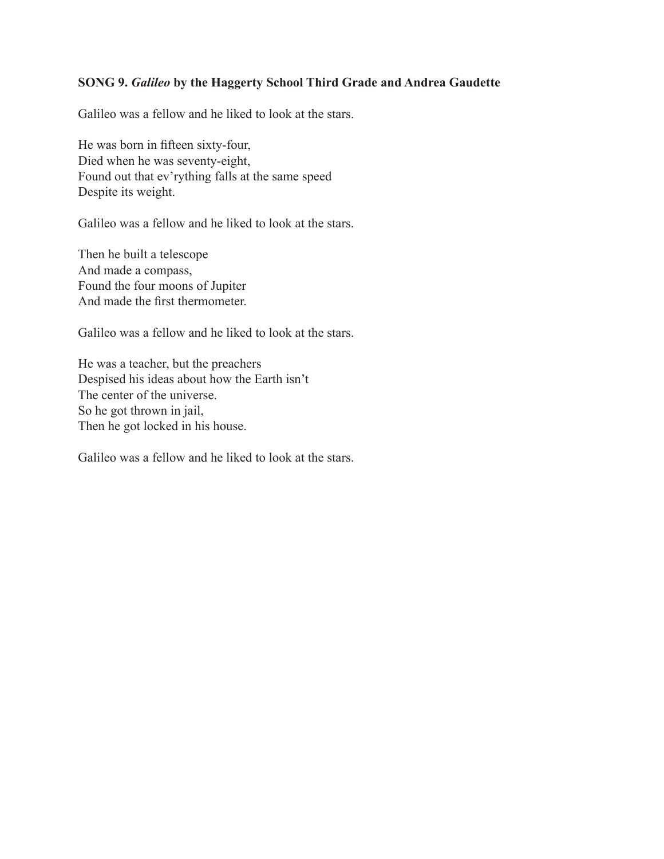## **SONG 9.** *Galileo* **by the Haggerty School Third Grade and Andrea Gaudette**

Galileo was a fellow and he liked to look at the stars.

He was born in fifteen sixty-four, Died when he was seventy-eight, Found out that ev'rything falls at the same speed Despite its weight.

Galileo was a fellow and he liked to look at the stars.

Then he built a telescope And made a compass, Found the four moons of Jupiter And made the first thermometer.

Galileo was a fellow and he liked to look at the stars.

He was a teacher, but the preachers Despised his ideas about how the Earth isn't The center of the universe. So he got thrown in jail, Then he got locked in his house.

Galileo was a fellow and he liked to look at the stars.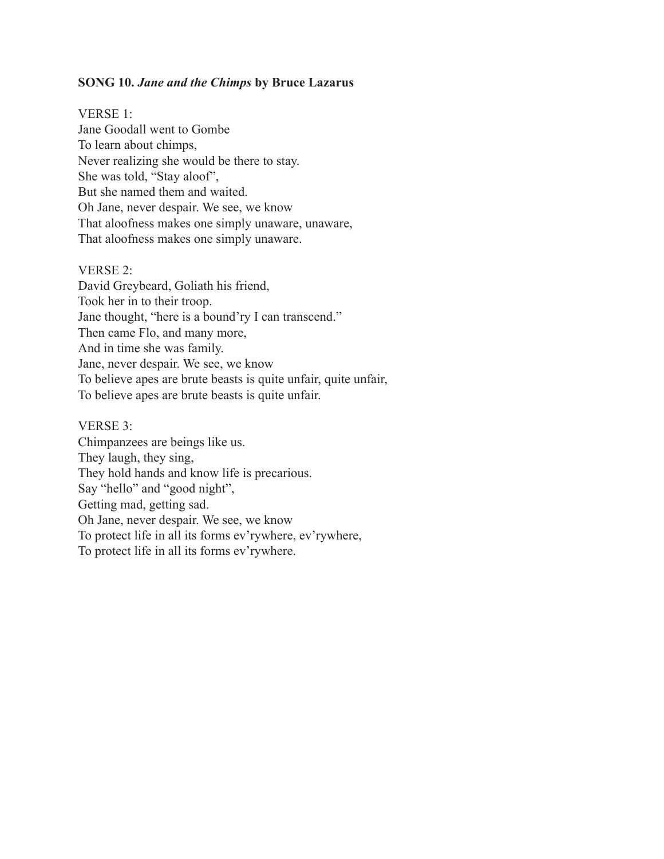#### **SONG 10.** *Jane and the Chimps* **by Bruce Lazarus**

VERSE 1: Jane Goodall went to Gombe To learn about chimps, Never realizing she would be there to stay. She was told, "Stay aloof", But she named them and waited. Oh Jane, never despair. We see, we know That aloofness makes one simply unaware, unaware, That aloofness makes one simply unaware.

#### VERSE 2:

David Greybeard, Goliath his friend, Took her in to their troop. Jane thought, "here is a bound'ry I can transcend." Then came Flo, and many more, And in time she was family. Jane, never despair. We see, we know To believe apes are brute beasts is quite unfair, quite unfair, To believe apes are brute beasts is quite unfair.

#### VERSE 3:

Chimpanzees are beings like us. They laugh, they sing, They hold hands and know life is precarious. Say "hello" and "good night", Getting mad, getting sad. Oh Jane, never despair. We see, we know To protect life in all its forms ev'rywhere, ev'rywhere, To protect life in all its forms ev'rywhere.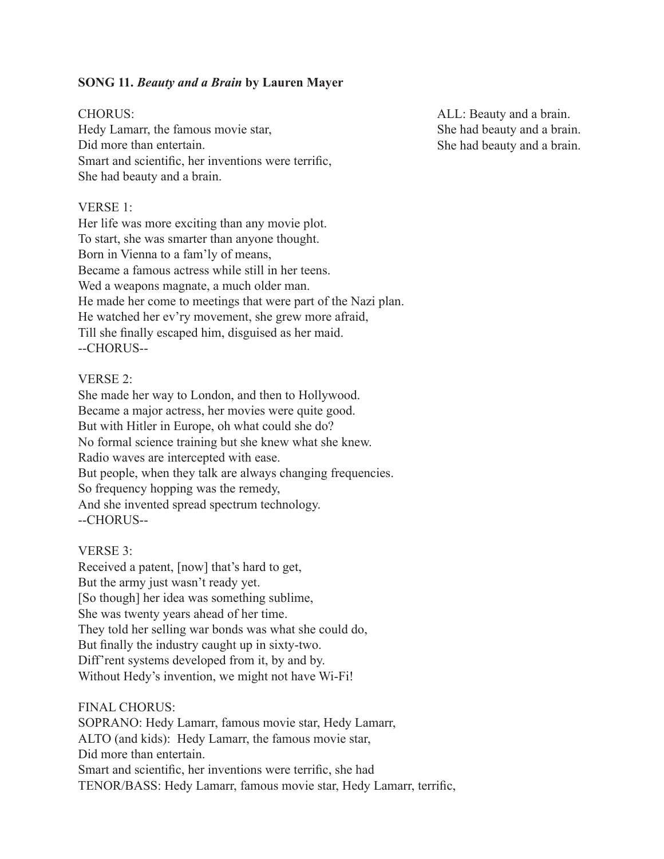## **SONG 11.** *Beauty and a Brain* **by Lauren Mayer**

#### CHORUS:

Hedy Lamarr, the famous movie star, Did more than entertain. Smart and scientific, her inventions were terrific, She had beauty and a brain.

## VERSE 1:

Her life was more exciting than any movie plot. To start, she was smarter than anyone thought. Born in Vienna to a fam'ly of means, Became a famous actress while still in her teens. Wed a weapons magnate, a much older man. He made her come to meetings that were part of the Nazi plan. He watched her ev'ry movement, she grew more afraid, Till she finally escaped him, disguised as her maid. --CHORUS--

#### VERSE 2:

She made her way to London, and then to Hollywood. Became a major actress, her movies were quite good. But with Hitler in Europe, oh what could she do? No formal science training but she knew what she knew. Radio waves are intercepted with ease. But people, when they talk are always changing frequencies. So frequency hopping was the remedy, And she invented spread spectrum technology. --CHORUS--

#### VERSE 3:

Received a patent, [now] that's hard to get, But the army just wasn't ready yet. [So though] her idea was something sublime, She was twenty years ahead of her time. They told her selling war bonds was what she could do, But finally the industry caught up in sixty-two. Diff'rent systems developed from it, by and by. Without Hedy's invention, we might not have Wi-Fi!

FINAL CHORUS:

SOPRANO: Hedy Lamarr, famous movie star, Hedy Lamarr, ALTO (and kids): Hedy Lamarr, the famous movie star, Did more than entertain. Smart and scientific, her inventions were terrific, she had TENOR/BASS: Hedy Lamarr, famous movie star, Hedy Lamarr, terrific,

ALL: Beauty and a brain. She had beauty and a brain. She had beauty and a brain.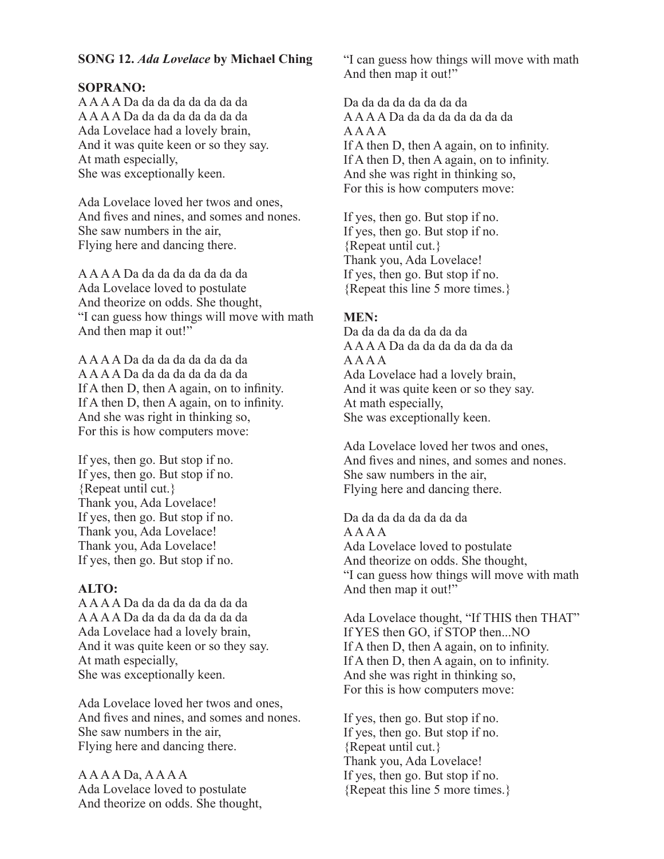## **SONG 12.** *Ada Lovelace* **by Michael Ching**

#### **SOPRANO:**

A A A A Da da da da da da da da A A A A Da da da da da da da da Ada Lovelace had a lovely brain, And it was quite keen or so they say. At math especially, She was exceptionally keen.

Ada Lovelace loved her twos and ones, And fives and nines, and somes and nones. She saw numbers in the air, Flying here and dancing there.

A A A A Da da da da da da da da Ada Lovelace loved to postulate And theorize on odds. She thought, "I can guess how things will move with math And then map it out!"

A A A A Da da da da da da da da A A A A Da da da da da da da da If A then D, then A again, on to infinity. If A then D, then A again, on to infinity. And she was right in thinking so, For this is how computers move:

If yes, then go. But stop if no. If yes, then go. But stop if no. {Repeat until cut.} Thank you, Ada Lovelace! If yes, then go. But stop if no. Thank you, Ada Lovelace! Thank you, Ada Lovelace! If yes, then go. But stop if no.

#### **ALTO:**

A A A A Da da da da da da da da A A A A Da da da da da da da da Ada Lovelace had a lovely brain, And it was quite keen or so they say. At math especially, She was exceptionally keen.

Ada Lovelace loved her twos and ones, And fives and nines, and somes and nones. She saw numbers in the air, Flying here and dancing there.

A A A A Da, A A A A Ada Lovelace loved to postulate And theorize on odds. She thought, "I can guess how things will move with math And then map it out!"

Da da da da da da da da A A A A Da da da da da da da da A A A A If A then D, then A again, on to infinity. If A then D, then A again, on to infinity. And she was right in thinking so, For this is how computers move:

If yes, then go. But stop if no. If yes, then go. But stop if no. {Repeat until cut.} Thank you, Ada Lovelace! If yes, then go. But stop if no. {Repeat this line 5 more times.}

#### **MEN:**

Da da da da da da da da A A A A Da da da da da da da da A A A A Ada Lovelace had a lovely brain, And it was quite keen or so they say. At math especially, She was exceptionally keen.

Ada Lovelace loved her twos and ones, And fives and nines, and somes and nones. She saw numbers in the air, Flying here and dancing there.

Da da da da da da da da A A A A Ada Lovelace loved to postulate And theorize on odds. She thought, "I can guess how things will move with math And then map it out!"

Ada Lovelace thought, "If THIS then THAT" If YES then GO, if STOP then...NO If A then D, then A again, on to infinity. If A then D, then A again, on to infinity. And she was right in thinking so, For this is how computers move:

If yes, then go. But stop if no. If yes, then go. But stop if no. {Repeat until cut.} Thank you, Ada Lovelace! If yes, then go. But stop if no. {Repeat this line 5 more times.}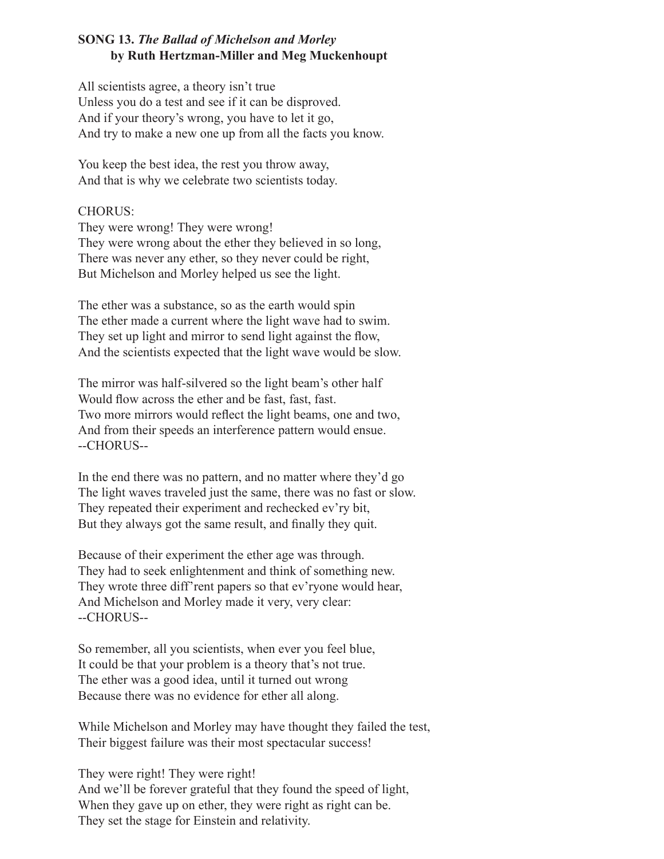## **SONG 13.** *The Ballad of Michelson and Morley* **by Ruth Hertzman-Miller and Meg Muckenhoupt**

All scientists agree, a theory isn't true Unless you do a test and see if it can be disproved. And if your theory's wrong, you have to let it go, And try to make a new one up from all the facts you know.

You keep the best idea, the rest you throw away, And that is why we celebrate two scientists today.

#### CHORUS:

They were wrong! They were wrong! They were wrong about the ether they believed in so long, There was never any ether, so they never could be right, But Michelson and Morley helped us see the light.

The ether was a substance, so as the earth would spin The ether made a current where the light wave had to swim. They set up light and mirror to send light against the flow, And the scientists expected that the light wave would be slow.

The mirror was half-silvered so the light beam's other half Would flow across the ether and be fast, fast, fast. Two more mirrors would reflect the light beams, one and two, And from their speeds an interference pattern would ensue. --CHORUS--

In the end there was no pattern, and no matter where they'd go The light waves traveled just the same, there was no fast or slow. They repeated their experiment and rechecked ev'ry bit, But they always got the same result, and finally they quit.

Because of their experiment the ether age was through. They had to seek enlightenment and think of something new. They wrote three diff'rent papers so that ev'ryone would hear, And Michelson and Morley made it very, very clear: --CHORUS--

So remember, all you scientists, when ever you feel blue, It could be that your problem is a theory that's not true. The ether was a good idea, until it turned out wrong Because there was no evidence for ether all along.

While Michelson and Morley may have thought they failed the test, Their biggest failure was their most spectacular success!

They were right! They were right! And we'll be forever grateful that they found the speed of light, When they gave up on ether, they were right as right can be. They set the stage for Einstein and relativity.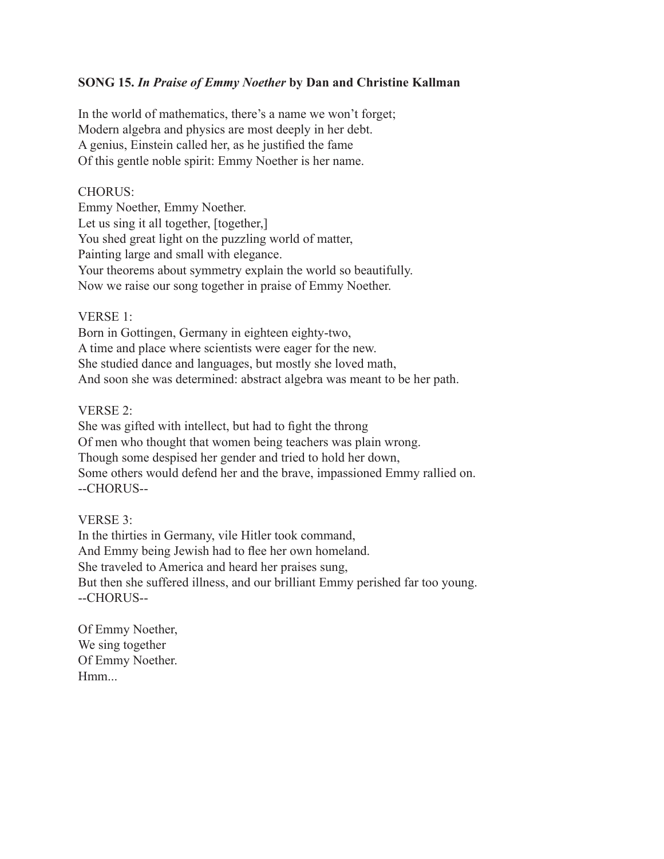## **SONG 15.** *In Praise of Emmy Noether* **by Dan and Christine Kallman**

In the world of mathematics, there's a name we won't forget; Modern algebra and physics are most deeply in her debt. A genius, Einstein called her, as he justified the fame Of this gentle noble spirit: Emmy Noether is her name.

#### CHORUS:

Emmy Noether, Emmy Noether. Let us sing it all together, [together,] You shed great light on the puzzling world of matter, Painting large and small with elegance. Your theorems about symmetry explain the world so beautifully. Now we raise our song together in praise of Emmy Noether.

### VERSE 1:

Born in Gottingen, Germany in eighteen eighty-two, A time and place where scientists were eager for the new. She studied dance and languages, but mostly she loved math, And soon she was determined: abstract algebra was meant to be her path.

### VERSE 2:

She was gifted with intellect, but had to fight the throng Of men who thought that women being teachers was plain wrong. Though some despised her gender and tried to hold her down, Some others would defend her and the brave, impassioned Emmy rallied on. --CHORUS--

## VERSE 3:

In the thirties in Germany, vile Hitler took command, And Emmy being Jewish had to flee her own homeland. She traveled to America and heard her praises sung, But then she suffered illness, and our brilliant Emmy perished far too young. --CHORUS--

Of Emmy Noether, We sing together Of Emmy Noether. Hmm...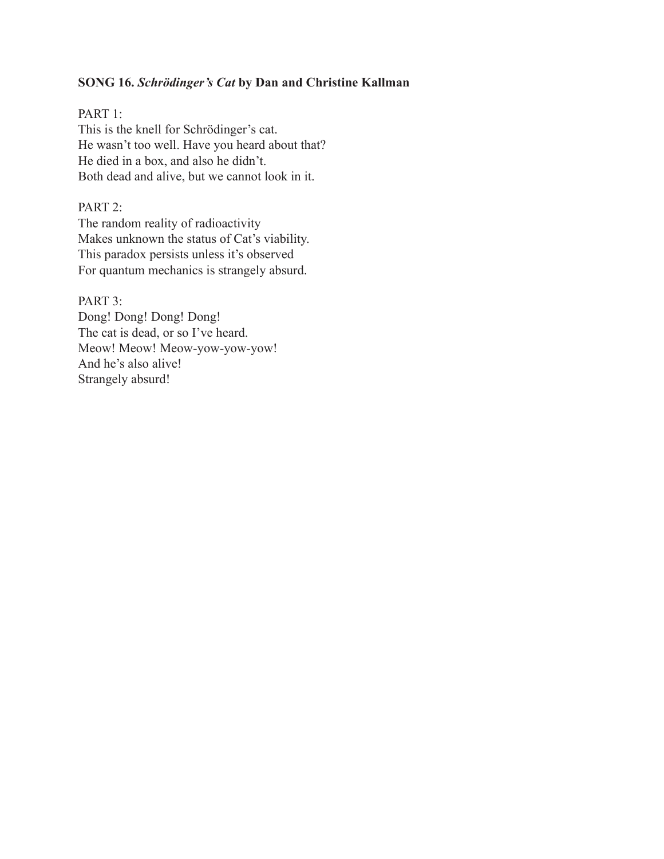## **SONG 16.** *Schrödinger's Cat* **by Dan and Christine Kallman**

### PART 1:

This is the knell for Schrödinger's cat. He wasn't too well. Have you heard about that? He died in a box, and also he didn't. Both dead and alive, but we cannot look in it.

## PART 2:

The random reality of radioactivity Makes unknown the status of Cat's viability. This paradox persists unless it's observed For quantum mechanics is strangely absurd.

PART<sub>3</sub>: Dong! Dong! Dong! Dong! The cat is dead, or so I've heard. Meow! Meow-yow-yow-yow! And he's also alive! Strangely absurd!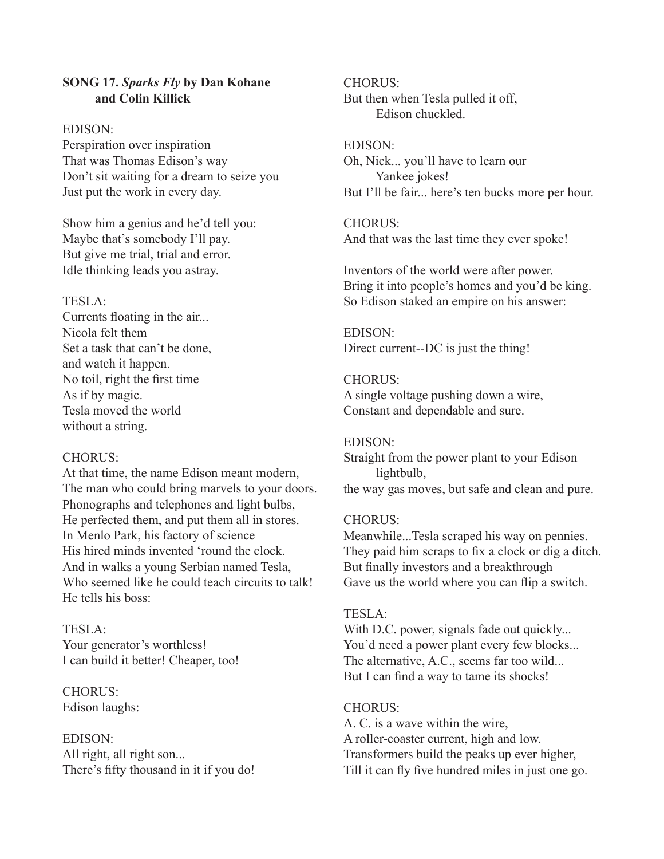### **SONG 17.** *Sparks Fly* **by Dan Kohane and Colin Killick**

#### EDISON:

Perspiration over inspiration That was Thomas Edison's way Don't sit waiting for a dream to seize you Just put the work in every day.

Show him a genius and he'd tell you: Maybe that's somebody I'll pay. But give me trial, trial and error. Idle thinking leads you astray.

## TESLA:

Currents floating in the air... Nicola felt them Set a task that can't be done, and watch it happen. No toil, right the first time As if by magic. Tesla moved the world without a string.

## CHORUS:

At that time, the name Edison meant modern, The man who could bring marvels to your doors. Phonographs and telephones and light bulbs, He perfected them, and put them all in stores. In Menlo Park, his factory of science His hired minds invented 'round the clock. And in walks a young Serbian named Tesla, Who seemed like he could teach circuits to talk! He tells his boss:

# TESLA: Your generator's worthless! I can build it better! Cheaper, too!

CHORUS: Edison laughs:

## EDISON: All right, all right son... There's fifty thousand in it if you do!

#### CHORUS: But then when Tesla pulled it off, Edison chuckled.

### EDISON:

Oh, Nick... you'll have to learn our Yankee jokes! But I'll be fair... here's ten bucks more per hour.

# CHORUS:

And that was the last time they ever spoke!

Inventors of the world were after power. Bring it into people's homes and you'd be king. So Edison staked an empire on his answer:

EDISON: Direct current--DC is just the thing!

# CHORUS:

A single voltage pushing down a wire, Constant and dependable and sure.

## EDISON:

Straight from the power plant to your Edison lightbulb, the way gas moves, but safe and clean and pure.

# CHORUS:

Meanwhile...Tesla scraped his way on pennies. They paid him scraps to fix a clock or dig a ditch. But finally investors and a breakthrough Gave us the world where you can flip a switch.

# TESLA:

With D.C. power, signals fade out quickly... You'd need a power plant every few blocks... The alternative, A.C., seems far too wild... But I can find a way to tame its shocks!

# CHORUS:

A. C. is a wave within the wire, A roller-coaster current, high and low. Transformers build the peaks up ever higher, Till it can fly five hundred miles in just one go.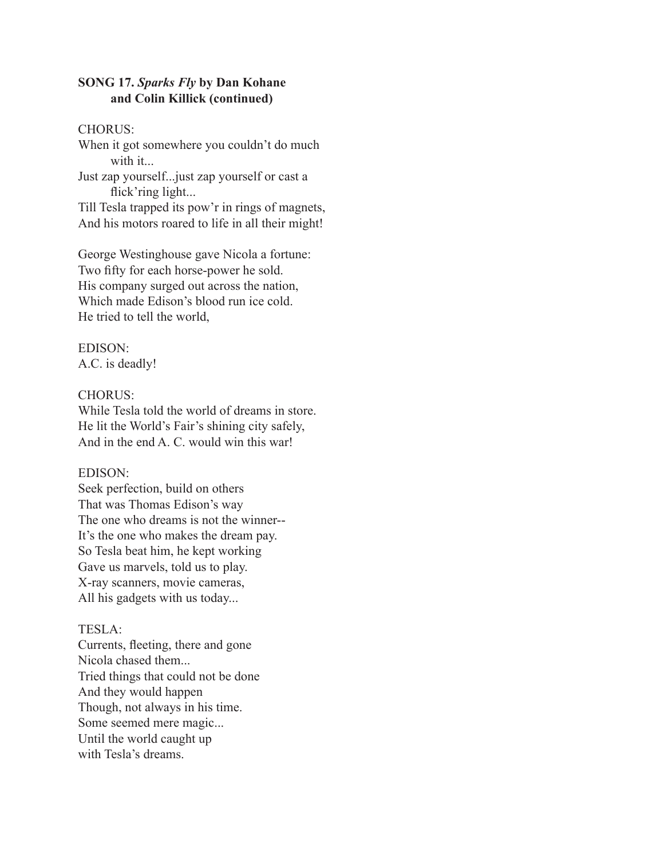## **SONG 17.** *Sparks Fly* **by Dan Kohane and Colin Killick (continued)**

#### CHORUS:

When it got somewhere you couldn't do much with it...

Just zap yourself...just zap yourself or cast a flick'ring light...

Till Tesla trapped its pow'r in rings of magnets, And his motors roared to life in all their might!

George Westinghouse gave Nicola a fortune: Two fifty for each horse-power he sold. His company surged out across the nation, Which made Edison's blood run ice cold. He tried to tell the world,

## EDISON:

A.C. is deadly!

#### CHORUS:

While Tesla told the world of dreams in store. He lit the World's Fair's shining city safely, And in the end A. C. would win this war!

#### EDISON:

Seek perfection, build on others That was Thomas Edison's way The one who dreams is not the winner-- It's the one who makes the dream pay. So Tesla beat him, he kept working Gave us marvels, told us to play. X-ray scanners, movie cameras, All his gadgets with us today...

#### TESLA:

Currents, fleeting, there and gone Nicola chased them... Tried things that could not be done And they would happen Though, not always in his time. Some seemed mere magic... Until the world caught up with Tesla's dreams.